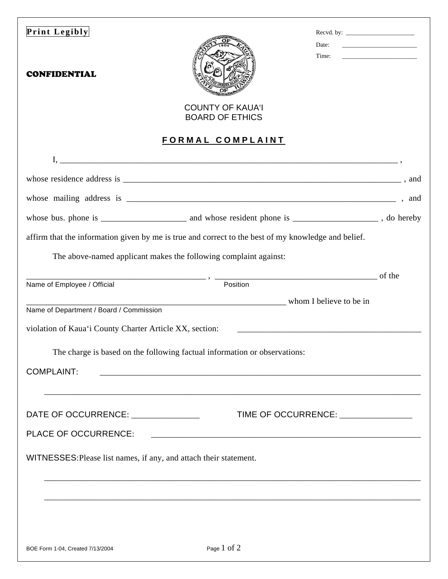| Print Legibly                                                                                       |                                                                           | Recvd. by: $\qquad \qquad$<br>Date:<br>Time: | <u> 1999 - John Harry Harry Harry Harry Harry Harry Harry Harry Harry Harry Harry Harry Harry Harry Harry Harry</u> |
|-----------------------------------------------------------------------------------------------------|---------------------------------------------------------------------------|----------------------------------------------|---------------------------------------------------------------------------------------------------------------------|
| <b>CONFIDENTIAL</b>                                                                                 |                                                                           |                                              |                                                                                                                     |
|                                                                                                     | <b>COUNTY OF KAUA'I</b><br><b>BOARD OF ETHICS</b>                         |                                              |                                                                                                                     |
|                                                                                                     | <u>FORMAL COMPLAINT</u>                                                   |                                              |                                                                                                                     |
|                                                                                                     |                                                                           |                                              |                                                                                                                     |
|                                                                                                     |                                                                           |                                              |                                                                                                                     |
|                                                                                                     |                                                                           |                                              |                                                                                                                     |
|                                                                                                     |                                                                           |                                              |                                                                                                                     |
| affirm that the information given by me is true and correct to the best of my knowledge and belief. |                                                                           |                                              |                                                                                                                     |
|                                                                                                     | The above-named applicant makes the following complaint against:          |                                              |                                                                                                                     |
|                                                                                                     |                                                                           |                                              |                                                                                                                     |
| Name of Employee / Official                                                                         | Position<br>whom I believe to be in                                       |                                              |                                                                                                                     |
| Name of Department / Board / Commission                                                             |                                                                           |                                              |                                                                                                                     |
| violation of Kaua'i County Charter Article XX, section:                                             |                                                                           |                                              |                                                                                                                     |
|                                                                                                     | The charge is based on the following factual information or observations: |                                              |                                                                                                                     |
| <b>COMPLAINT:</b>                                                                                   |                                                                           |                                              |                                                                                                                     |
|                                                                                                     |                                                                           |                                              |                                                                                                                     |
| DATE OF OCCURRENCE: _________________                                                               |                                                                           | TIME OF OCCURRENCE: _________________        |                                                                                                                     |
| PLACE OF OCCURRENCE:                                                                                |                                                                           |                                              |                                                                                                                     |
|                                                                                                     |                                                                           |                                              |                                                                                                                     |
| WITNESSES: Please list names, if any, and attach their statement.                                   |                                                                           |                                              |                                                                                                                     |
|                                                                                                     |                                                                           |                                              |                                                                                                                     |
|                                                                                                     |                                                                           |                                              |                                                                                                                     |
|                                                                                                     |                                                                           |                                              |                                                                                                                     |
|                                                                                                     |                                                                           |                                              |                                                                                                                     |
| BOE Form 1-04, Created 7/13/2004                                                                    | Page 1 of 2                                                               |                                              |                                                                                                                     |